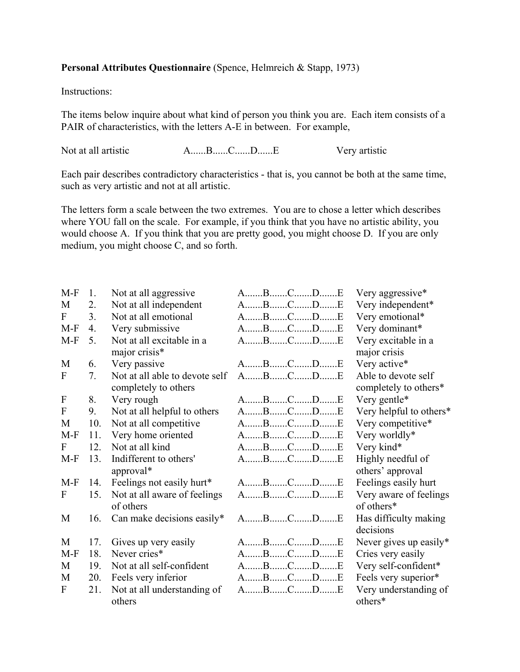## **Personal Attributes Questionnaire** (Spence, Helmreich & Stapp, 1973)

Instructions:

The items below inquire about what kind of person you think you are. Each item consists of a PAIR of characteristics, with the letters A-E in between. For example,

Not at all artistic A......B......C......D......E Very artistic

Each pair describes contradictory characteristics - that is, you cannot be both at the same time, such as very artistic and not at all artistic.

The letters form a scale between the two extremes. You are to chose a letter which describes where YOU fall on the scale. For example, if you think that you have no artistic ability, you would choose A. If you think that you are pretty good, you might choose D. If you are only medium, you might choose C, and so forth.

| $M-F$                     | 1.               | Not at all aggressive          | ABCDE               | Very aggressive*        |
|---------------------------|------------------|--------------------------------|---------------------|-------------------------|
| M                         | 2.               | Not at all independent         | ABCDE               | Very independent*       |
| F                         | 3.               | Not at all emotional           | ABCDE               | Very emotional*         |
| $M-F$                     | $\overline{4}$ . | Very submissive                | ABCDE               | Very dominant*          |
| $M-F$                     | 5.               | Not at all excitable in a      | ABCDE               | Very excitable in a     |
|                           |                  | major crisis*                  |                     | major crisis            |
| M                         | 6.               | Very passive                   | ABCDE               | Very active*            |
| F                         | 7.               | Not at all able to devote self | ABCDE               | Able to devote self     |
|                           |                  | completely to others           |                     | completely to others*   |
| $\boldsymbol{\mathrm{F}}$ | 8.               | Very rough                     | $A$ $B$ $C$ $D$ $E$ | Very gentle*            |
| ${\bf F}$                 | 9.               | Not at all helpful to others   | ABCDE               | Very helpful to others* |
| M                         | 10.              | Not at all competitive         | ABCDE               | Very competitive*       |
| $M-F$                     | 11.              | Very home oriented             | ABCDE               | Very worldly*           |
| F                         | 12.              | Not at all kind                | ABCDE               | Very kind*              |
| $M-F$                     | 13.              | Indifferent to others'         | ABCDE               | Highly needful of       |
|                           |                  | approval*                      |                     | others' approval        |
| $M-F$                     | 14.              | Feelings not easily hurt*      | ABCDE               | Feelings easily hurt    |
| F                         | 15.              | Not at all aware of feelings   | ABCDE               | Very aware of feelings  |
|                           |                  | of others                      |                     | of others*              |
| M                         | 16.              | Can make decisions easily*     | $A$ $B$ $C$ $D$ $E$ | Has difficulty making   |
|                           |                  |                                |                     | decisions               |
| M                         | 17.              | Gives up very easily           | ABCDE               | Never gives up easily*  |
| $M-F$                     | 18.              | Never cries*                   | ABCDE               | Cries very easily       |
| M                         | 19.              | Not at all self-confident      | ABCDE               | Very self-confident*    |
| M                         | 20.              | Feels very inferior            | ABCDE               | Feels very superior*    |
| F                         | 21.              | Not at all understanding of    | ABCDE               | Very understanding of   |
|                           |                  | others                         |                     | others*                 |
|                           |                  |                                |                     |                         |